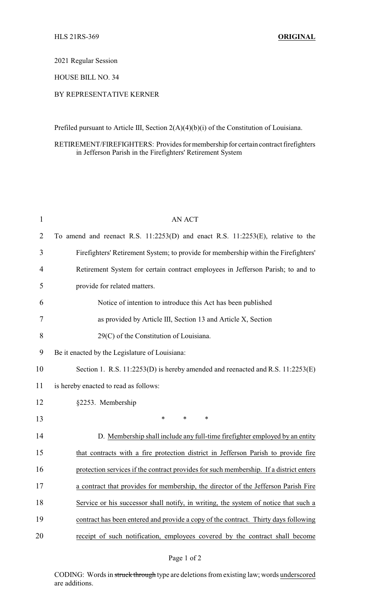2021 Regular Session

HOUSE BILL NO. 34

## BY REPRESENTATIVE KERNER

Prefiled pursuant to Article III, Section 2(A)(4)(b)(i) of the Constitution of Louisiana.

## RETIREMENT/FIREFIGHTERS: Provides formembership for certain contract firefighters in Jefferson Parish in the Firefighters' Retirement System

| $\mathbf{1}$ | <b>AN ACT</b>                                                                          |
|--------------|----------------------------------------------------------------------------------------|
| 2            | To amend and reenact R.S. $11:2253(D)$ and enact R.S. $11:2253(E)$ , relative to the   |
| 3            | Firefighters' Retirement System; to provide for membership within the Firefighters'    |
| 4            | Retirement System for certain contract employees in Jefferson Parish; to and to        |
| 5            | provide for related matters.                                                           |
| 6            | Notice of intention to introduce this Act has been published                           |
| 7            | as provided by Article III, Section 13 and Article X, Section                          |
| 8            | $29(C)$ of the Constitution of Louisiana.                                              |
| 9            | Be it enacted by the Legislature of Louisiana:                                         |
| 10           | Section 1. R.S. 11:2253(D) is hereby amended and reenacted and R.S. 11:2253(E)         |
| 11           | is hereby enacted to read as follows:                                                  |
| 12           | §2253. Membership                                                                      |
| 13           | $\ast$<br>$\ast$<br>*                                                                  |
| 14           | D. Membership shall include any full-time firefighter employed by an entity            |
| 15           | that contracts with a fire protection district in Jefferson Parish to provide fire     |
| 16           | protection services if the contract provides for such membership. If a district enters |
| 17           | a contract that provides for membership, the director of the Jefferson Parish Fire     |
| 18           | Service or his successor shall notify, in writing, the system of notice that such a    |
| 19           | contract has been entered and provide a copy of the contract. Thirty days following    |
| 20           | receipt of such notification, employees covered by the contract shall become           |

## Page 1 of 2

CODING: Words in struck through type are deletions from existing law; words underscored are additions.